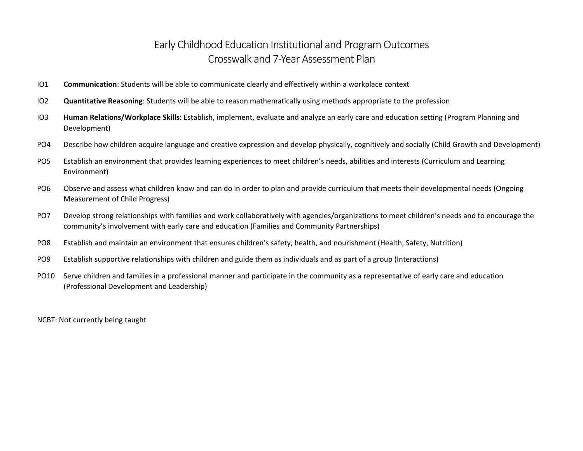## Early Childhood Education Institutional and Program Outcomes Crosswalk and 7-Year Assessment Plan

- IO1 **Communication**: Students will be able to communicate clearly and effectively within a workplace context
- IO2 **Quantitative Reasoning**: Students will be able to reason mathematically using methods appropriate to the profession
- IO3 **Human Relations/Workplace Skills**: Establish, implement, evaluate and analyze an early care and education setting (Program Planning and Development)
- PO4 Describe how children acquire language and creative expression and develop physically, cognitively and socially (Child Growth and Development)
- PO5 Establish an environment that provides learning experiences to meet children's needs, abilities and interests (Curriculum and Learning Environment)
- PO6 Observe and assess what children know and can do in order to plan and provide curriculum that meets their developmental needs (Ongoing Measurement of Child Progress)
- PO7 Develop strong relationships with families and work collaboratively with agencies/organizations to meet children's needs and to encourage the community's involvement with early care and education (Families and Community Partnerships)
- PO8 Establish and maintain an environment that ensures children's safety, health, and nourishment (Health, Safety, Nutrition)
- PO9 Establish supportive relationships with children and guide them as individuals and as part of a group (Interactions)
- PO10 Serve children and families in a professional manner and participate in the community as a representative of early care and education (Professional Development and Leadership)

NCBT: Not currently being taught